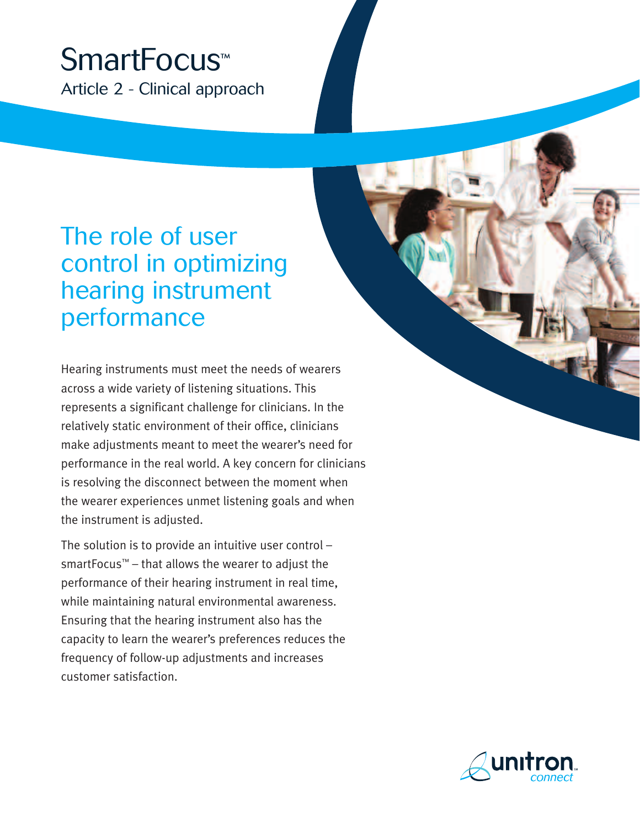# SmartFocus™ Article 2 - Clinical approach

# The role of user control in optimizing hearing instrument performance

Hearing instruments must meet the needs of wearers across a wide variety of listening situations. This represents a significant challenge for clinicians. In the relatively static environment of their office, clinicians make adjustments meant to meet the wearer's need for performance in the real world. A key concern for clinicians is resolving the disconnect between the moment when the wearer experiences unmet listening goals and when the instrument is adjusted.

The solution is to provide an intuitive user control – smartFocus™ – that allows the wearer to adjust the performance of their hearing instrument in real time, while maintaining natural environmental awareness. Ensuring that the hearing instrument also has the capacity to learn the wearer's preferences reduces the frequency of follow-up adjustments and increases customer satisfaction.



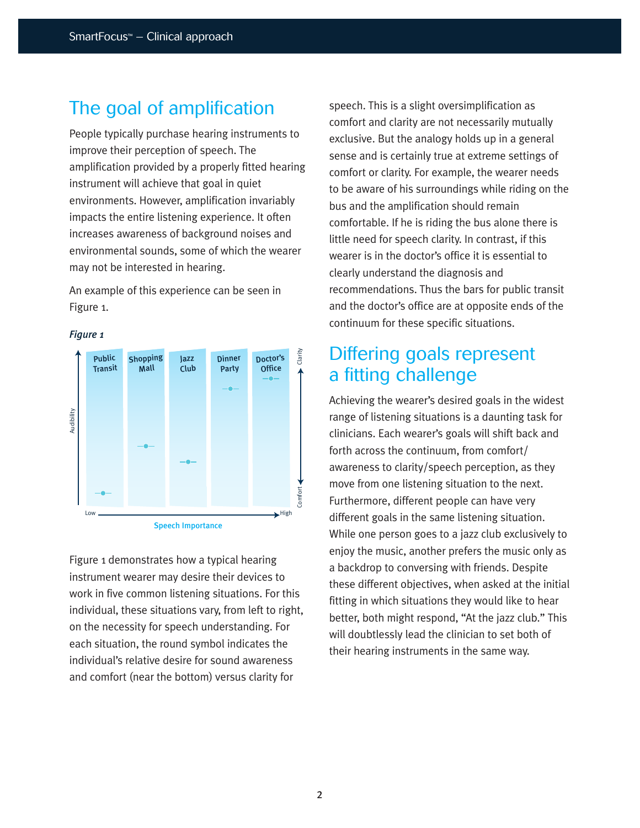### The goal of amplification

People typically purchase hearing instruments to improve their perception of speech. The amplification provided by a properly fitted hearing instrument will achieve that goal in quiet environments. However, amplification invariably impacts the entire listening experience. It often increases awareness of background noises and environmental sounds, some of which the wearer may not be interested in hearing.

An example of this experience can be seen in Figure 1.

#### *Figure 1*



Figure 1 demonstrates how a typical hearing instrument wearer may desire their devices to work in five common listening situations. For this individual, these situations vary, from left to right, on the necessity for speech understanding. For each situation, the round symbol indicates the individual's relative desire for sound awareness and comfort (near the bottom) versus clarity for

speech. This is a slight oversimplification as comfort and clarity are not necessarily mutually exclusive. But the analogy holds up in a general sense and is certainly true at extreme settings of comfort or clarity. For example, the wearer needs to be aware of his surroundings while riding on the bus and the amplification should remain comfortable. If he is riding the bus alone there is little need for speech clarity. In contrast, if this wearer is in the doctor's office it is essential to clearly understand the diagnosis and recommendations. Thus the bars for public transit and the doctor's office are at opposite ends of the continuum for these specific situations.

### Differing goals represent a fitting challenge

Achieving the wearer's desired goals in the widest range of listening situations is a daunting task for clinicians. Each wearer's goals will shift back and forth across the continuum, from comfort/ awareness to clarity/speech perception, as they move from one listening situation to the next. Furthermore, different people can have very different goals in the same listening situation. While one person goes to a jazz club exclusively to enjoy the music, another prefers the music only as a backdrop to conversing with friends. Despite these different objectives, when asked at the initial fitting in which situations they would like to hear better, both might respond, "At the jazz club." This will doubtlessly lead the clinician to set both of their hearing instruments in the same way.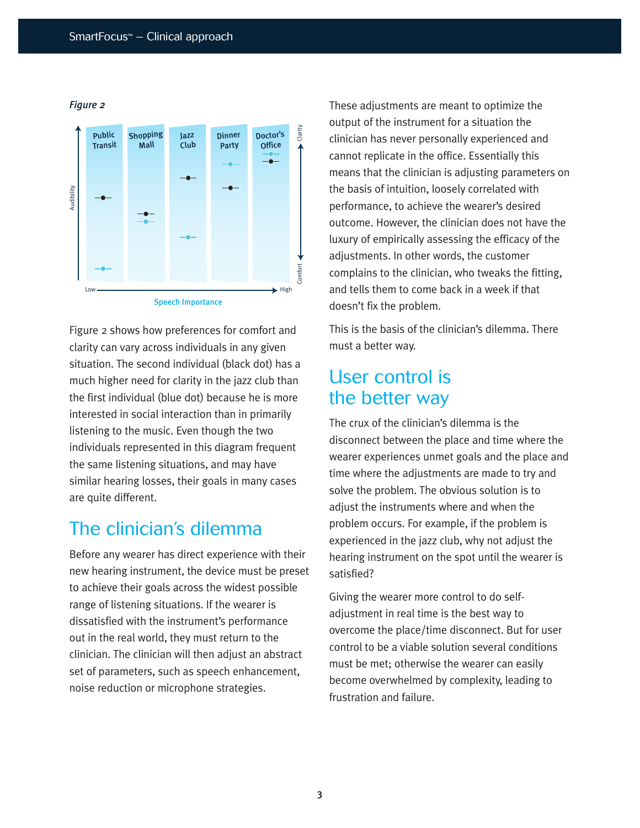

*Figure 2*

Figure 2 shows how preferences for comfort and clarity can vary across individuals in any given situation. The second individual (black dot) has a much higher need for clarity in the jazz club than the first individual (blue dot) because he is more interested in social interaction than in primarily listening to the music. Even though the two individuals represented in this diagram frequent the same listening situations, and may have similar hearing losses, their goals in many cases are quite different.

# The clinician's dilemma

Before any wearer has direct experience with their new hearing instrument, the device must be preset to achieve their goals across the widest possible range of listening situations. If the wearer is dissatisfied with the instrument's performance out in the real world, they must return to the clinician. The clinician will then adjust an abstract set of parameters, such as speech enhancement, noise reduction or microphone strategies.

These adjustments are meant to optimize the output of the instrument for a situation the clinician has never personally experienced and cannot replicate in the office. Essentially this means that the clinician is adjusting parameters on the basis of intuition, loosely correlated with performance, to achieve the wearer's desired outcome. However, the clinician does not have the luxury of empirically assessing the efficacy of the adjustments. In other words, the customer complains to the clinician, who tweaks the fitting, and tells them to come back in a week if that doesn't fix the problem.

This is the basis of the clinician's dilemma. There must a better way.

# User control is the better way

The crux of the clinician's dilemma is the disconnect between the place and time where the wearer experiences unmet goals and the place and time where the adjustments are made to try and solve the problem. The obvious solution is to adjust the instruments where and when the problem occurs. For example, if the problem is experienced in the jazz club, why not adjust the hearing instrument on the spot until the wearer is satisfied?

Giving the wearer more control to do selfadjustment in real time is the best way to overcome the place/time disconnect. But for user control to be a viable solution several conditions must be met; otherwise the wearer can easily become overwhelmed by complexity, leading to frustration and failure.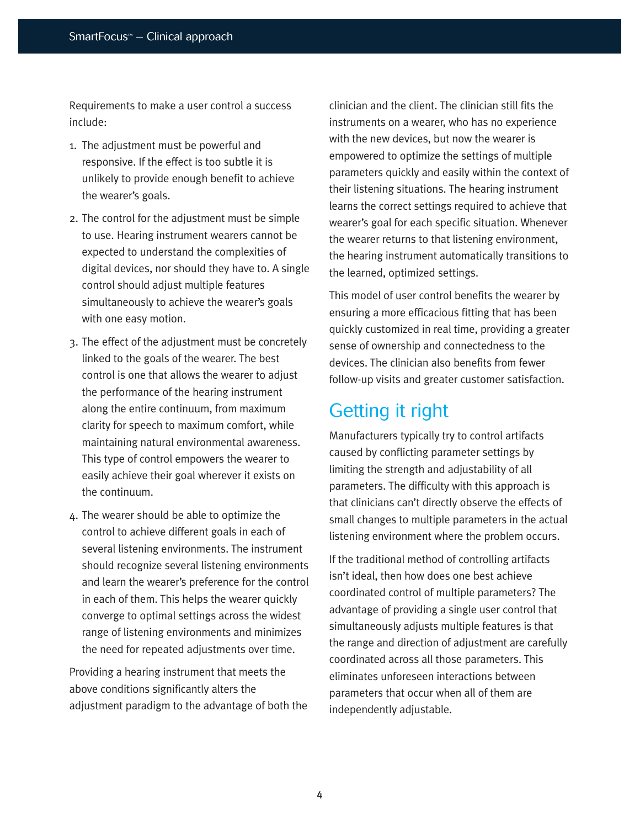Requirements to make a user control a success include:

- 1. The adjustment must be powerful and responsive. If the effect is too subtle it is unlikely to provide enough benefit to achieve the wearer's goals.
- 2. The control for the adjustment must be simple to use. Hearing instrument wearers cannot be expected to understand the complexities of digital devices, nor should they have to. A single control should adjust multiple features simultaneously to achieve the wearer's goals with one easy motion.
- 3. The effect of the adjustment must be concretely linked to the goals of the wearer. The best control is one that allows the wearer to adjust the performance of the hearing instrument along the entire continuum, from maximum clarity for speech to maximum comfort, while maintaining natural environmental awareness. This type of control empowers the wearer to easily achieve their goal wherever it exists on the continuum.
- 4. The wearer should be able to optimize the control to achieve different goals in each of several listening environments. The instrument should recognize several listening environments and learn the wearer's preference for the control in each of them. This helps the wearer quickly converge to optimal settings across the widest range of listening environments and minimizes the need for repeated adjustments over time.

Providing a hearing instrument that meets the above conditions significantly alters the adjustment paradigm to the advantage of both the clinician and the client. The clinician still fits the instruments on a wearer, who has no experience with the new devices, but now the wearer is empowered to optimize the settings of multiple parameters quickly and easily within the context of their listening situations. The hearing instrument learns the correct settings required to achieve that wearer's goal for each specific situation. Whenever the wearer returns to that listening environment, the hearing instrument automatically transitions to the learned, optimized settings.

This model of user control benefits the wearer by ensuring a more efficacious fitting that has been quickly customized in real time, providing a greater sense of ownership and connectedness to the devices. The clinician also benefits from fewer follow-up visits and greater customer satisfaction.

# Getting it right

Manufacturers typically try to control artifacts caused by conflicting parameter settings by limiting the strength and adjustability of all parameters. The difficulty with this approach is that clinicians can't directly observe the effects of small changes to multiple parameters in the actual listening environment where the problem occurs.

If the traditional method of controlling artifacts isn't ideal, then how does one best achieve coordinated control of multiple parameters? The advantage of providing a single user control that simultaneously adjusts multiple features is that the range and direction of adjustment are carefully coordinated across all those parameters. This eliminates unforeseen interactions between parameters that occur when all of them are independently adjustable.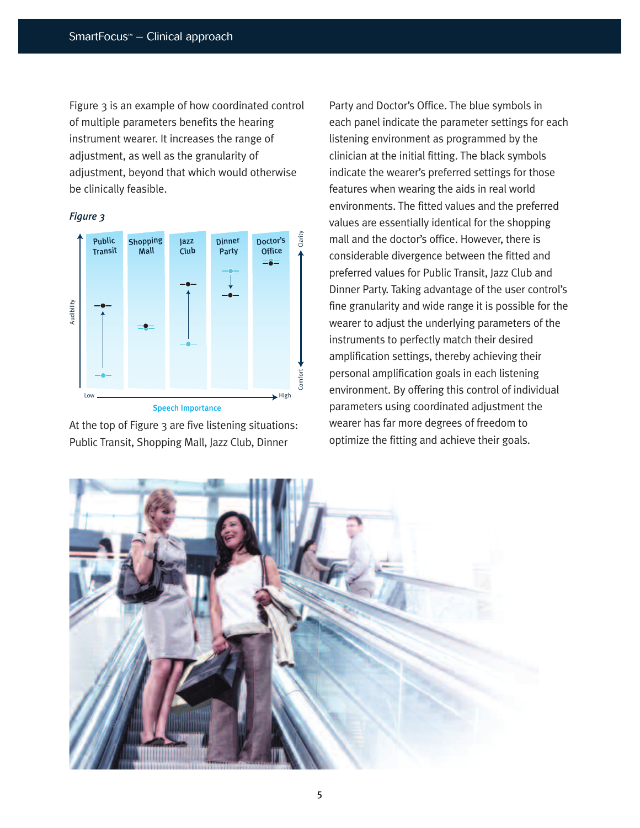Figure 3 is an example of how coordinated control of multiple parameters benefits the hearing instrument wearer. It increases the range of adjustment, as well as the granularity of adjustment, beyond that which would otherwise be clinically feasible.

#### *Figure 3*



Speech Importance

At the top of Figure 3 are five listening situations: Public Transit, Shopping Mall, Jazz Club, Dinner

Party and Doctor's Office. The blue symbols in each panel indicate the parameter settings for each listening environment as programmed by the clinician at the initial fitting. The black symbols indicate the wearer's preferred settings for those features when wearing the aids in real world environments. The fitted values and the preferred values are essentially identical for the shopping mall and the doctor's office. However, there is considerable divergence between the fitted and preferred values for Public Transit, Jazz Club and Dinner Party. Taking advantage of the user control's fine granularity and wide range it is possible for the wearer to adjust the underlying parameters of the instruments to perfectly match their desired amplification settings, thereby achieving their personal amplification goals in each listening environment. By offering this control of individual parameters using coordinated adjustment the wearer has far more degrees of freedom to optimize the fitting and achieve their goals.